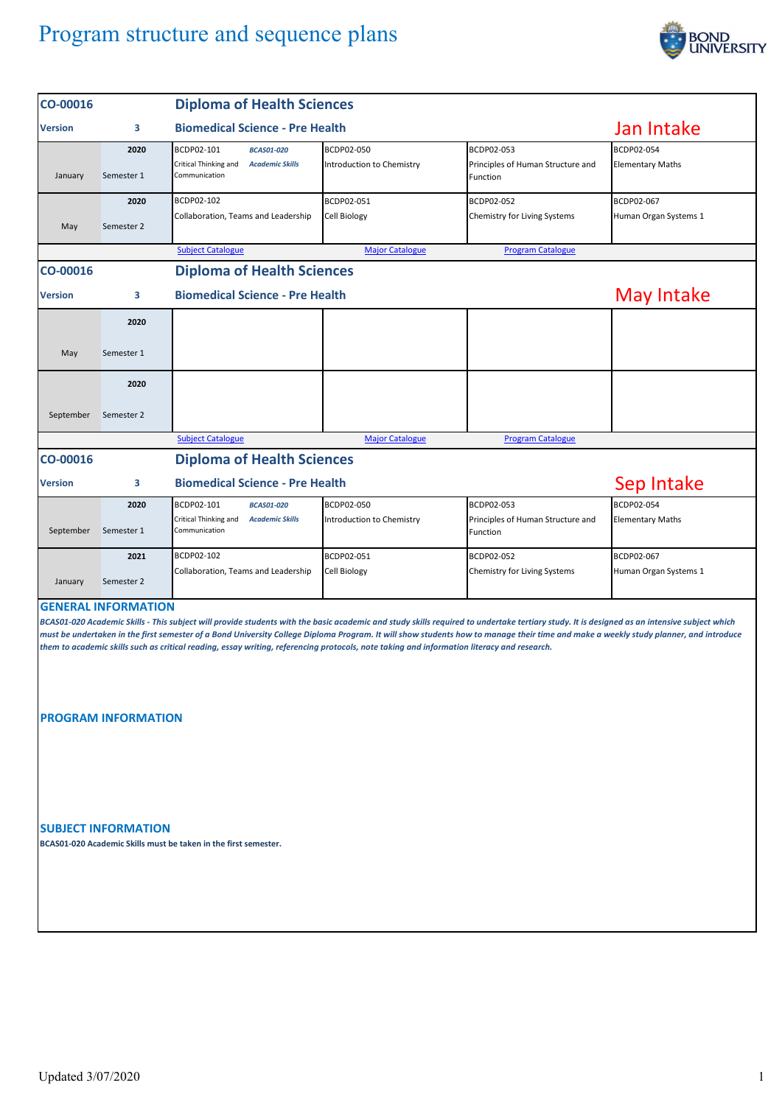## Program structure and sequence plans



| CO-00016       |                                                          | <b>Diploma of Health Sciences</b>                                                                                                          |                                         |                                                                                                                                                                                                                                                                                                                                                                                     |                                       |
|----------------|----------------------------------------------------------|--------------------------------------------------------------------------------------------------------------------------------------------|-----------------------------------------|-------------------------------------------------------------------------------------------------------------------------------------------------------------------------------------------------------------------------------------------------------------------------------------------------------------------------------------------------------------------------------------|---------------------------------------|
| <b>Version</b> | <b>Biomedical Science - Pre Health</b><br>з              |                                                                                                                                            |                                         |                                                                                                                                                                                                                                                                                                                                                                                     | Jan Intake                            |
| January        | 2020<br>Semester 1                                       | BCDP02-101<br><b>BCAS01-020</b><br>Critical Thinking and<br><b>Academic Skills</b><br>Communication                                        | BCDP02-050<br>Introduction to Chemistry | BCDP02-053<br>Principles of Human Structure and<br>Function                                                                                                                                                                                                                                                                                                                         | BCDP02-054<br><b>Elementary Maths</b> |
| May            | 2020<br>Semester 2                                       | BCDP02-102<br>Collaboration, Teams and Leadership                                                                                          | BCDP02-051<br><b>Cell Biology</b>       | BCDP02-052<br>Chemistry for Living Systems                                                                                                                                                                                                                                                                                                                                          | BCDP02-067<br>Human Organ Systems 1   |
|                |                                                          | <b>Subject Catalogue</b>                                                                                                                   | <b>Major Catalogue</b>                  | <b>Program Catalogue</b>                                                                                                                                                                                                                                                                                                                                                            |                                       |
| CO-00016       |                                                          | <b>Diploma of Health Sciences</b>                                                                                                          |                                         |                                                                                                                                                                                                                                                                                                                                                                                     |                                       |
| Version        | 3                                                        | <b>Biomedical Science - Pre Health</b>                                                                                                     | <b>May Intake</b>                       |                                                                                                                                                                                                                                                                                                                                                                                     |                                       |
|                | 2020                                                     |                                                                                                                                            |                                         |                                                                                                                                                                                                                                                                                                                                                                                     |                                       |
| May            | Semester 1                                               |                                                                                                                                            |                                         |                                                                                                                                                                                                                                                                                                                                                                                     |                                       |
|                | 2020                                                     |                                                                                                                                            |                                         |                                                                                                                                                                                                                                                                                                                                                                                     |                                       |
| September      | Semester 2                                               |                                                                                                                                            |                                         |                                                                                                                                                                                                                                                                                                                                                                                     |                                       |
|                |                                                          | <b>Subject Catalogue</b>                                                                                                                   | <b>Major Catalogue</b>                  | <b>Program Catalogue</b>                                                                                                                                                                                                                                                                                                                                                            |                                       |
| CO-00016       |                                                          | <b>Diploma of Health Sciences</b>                                                                                                          |                                         |                                                                                                                                                                                                                                                                                                                                                                                     |                                       |
| <b>Version</b> | 3                                                        | <b>Biomedical Science - Pre Health</b>                                                                                                     | Sep Intake                              |                                                                                                                                                                                                                                                                                                                                                                                     |                                       |
|                | 2020                                                     | BCDP02-101<br><b>BCAS01-020</b>                                                                                                            | BCDP02-050                              | BCDP02-053                                                                                                                                                                                                                                                                                                                                                                          | BCDP02-054                            |
| September      | Semester 1                                               | Critical Thinking and<br><b>Academic Skills</b><br>Communication                                                                           | Introduction to Chemistry               | Principles of Human Structure and<br>Function                                                                                                                                                                                                                                                                                                                                       | <b>Elementary Maths</b>               |
|                | 2021                                                     | BCDP02-102                                                                                                                                 | BCDP02-051                              | BCDP02-052                                                                                                                                                                                                                                                                                                                                                                          | BCDP02-067                            |
| January        | Semester 2                                               | Collaboration, Teams and Leadership                                                                                                        | <b>Cell Biology</b>                     | Chemistry for Living Systems                                                                                                                                                                                                                                                                                                                                                        | Human Organ Systems 1                 |
|                | <b>GENERAL INFORMATION</b><br><b>PROGRAM INFORMATION</b> | them to academic skills such as critical reading, essay writing, referencing protocols, note taking and information literacy and research. |                                         | BCAS01-020 Academic Skills - This subject will provide students with the basic academic and study skills required to undertake tertiary study. It is designed as an intensive subject which<br>must be undertaken in the first semester of a Bond University College Diploma Program. It will show students how to manage their time and make a weekly study planner, and introduce |                                       |
|                |                                                          |                                                                                                                                            |                                         |                                                                                                                                                                                                                                                                                                                                                                                     |                                       |